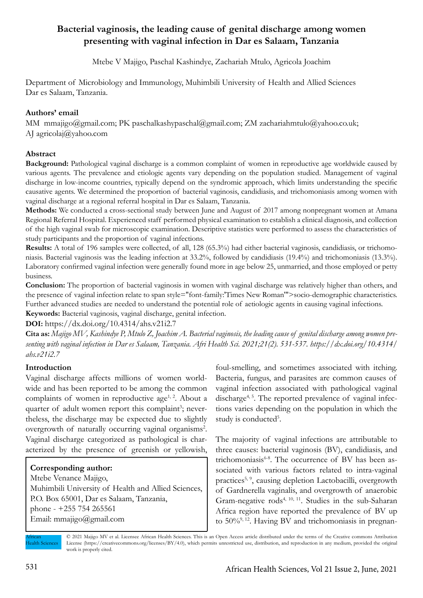# **Bacterial vaginosis, the leading cause of genital discharge among women presenting with vaginal infection in Dar es Salaam, Tanzania**

Mtebe V Majigo, Paschal Kashindye, Zachariah Mtulo, Agricola Joachim

Department of Microbiology and Immunology, Muhimbili University of Health and Allied Sciences Dar es Salaam, Tanzania.

## **Authors' email**

MM mmajigo@gmail.com; PK paschalkashypaschal@gmail.com; ZM zachariahmtulo@yahoo.co.uk; AJ agricolaj@yahoo.com

## **Abstract**

**Background:** Pathological vaginal discharge is a common complaint of women in reproductive age worldwide caused by various agents. The prevalence and etiologic agents vary depending on the population studied. Management of vaginal discharge in low-income countries, typically depend on the syndromic approach, which limits understanding the specific causative agents. We determined the proportion of bacterial vaginosis, candidiasis, and trichomoniasis among women with vaginal discharge at a regional referral hospital in Dar es Salaam, Tanzania.

**Methods:** We conducted a cross-sectional study between June and August of 2017 among nonpregnant women at Amana Regional Referral Hospital. Experienced staff performed physical examination to establish a clinical diagnosis, and collection of the high vaginal swab for microscopic examination. Descriptive statistics were performed to assess the characteristics of study participants and the proportion of vaginal infections.

**Results:** A total of 196 samples were collected, of all, 128 (65.3%) had either bacterial vaginosis, candidiasis, or trichomoniasis. Bacterial vaginosis was the leading infection at 33.2%, followed by candidiasis (19.4%) and trichomoniasis (13.3%). Laboratory confirmed vaginal infection were generally found more in age below 25, unmarried, and those employed or petty business.

**Conclusion:** The proportion of bacterial vaginosis in women with vaginal discharge was relatively higher than others, and the presence of vaginal infection relate to span style="font-family:'Times New Roman'">socio-demographic characteristics. Further advanced studies are needed to understand the potential role of aetiologic agents in causing vaginal infections. **Keywords:** Bacterial vaginosis, vaginal discharge, genital infection.

**DOI:** https://dx.doi.org/10.4314/ahs.v21i2.7

**Cita as:** *Majigo MV, Kashindye P, Mtulo Z, Joachim A. Bacterial vaginosis, the leading cause of genital discharge among women presenting with vaginal infection in Dar es Salaam, Tanzania. Afri Health Sci. 2021;21(2). 531-537. https://dx.doi.org/10.4314/ ahs.v21i2.7*

## **Introduction**

Vaginal discharge affects millions of women worldwide and has been reported to be among the common complaints of women in reproductive age<sup>1, 2</sup>. About a quarter of adult women report this complaint<sup>3</sup>; nevertheless, the discharge may be expected due to slightly overgrowth of naturally occurring vaginal organisms<sup>2</sup>. Vaginal discharge categorized as pathological is characterized by the presence of greenish or yellowish,

## **Corresponding author:**

Mtebe Venance Majigo, Muhimbili University of Health and Allied Sciences, P.O. Box 65001, Dar es Salaam, Tanzania, phone - +255 754 265561 Email: mmajigo@gmail.com

foul-smelling, and sometimes associated with itching. Bacteria, fungus, and parasites are common causes of vaginal infection associated with pathological vaginal discharge<sup>4, 5</sup>. The reported prevalence of vaginal infections varies depending on the population in which the study is conducted<sup>5</sup>.

The majority of vaginal infections are attributable to three causes: bacterial vaginosis (BV), candidiasis, and trichomoniasis<sup>6-8</sup>. The occurrence of BV has been associated with various factors related to intra-vaginal practices<sup>5, 9</sup>, causing depletion Lactobacilli, overgrowth of Gardnerella vaginalis, and overgrowth of anaerobic Gram-negative rods4, 10, 11. Studies in the sub-Saharan Africa region have reported the prevalence of BV up to 50%9, 12. Having BV and trichomoniasis in pregnan-

African Health Sciences © 2021 Majigo MV et al. Licensee African Health Sciences. This is an Open Access article distributed under the terms of the Creative commons Attribution License (https://creativecommons.org/licenses/BY/4.0), which permits unrestricted use, distribution, and reproduction in any medium, provided the original work is properly cited.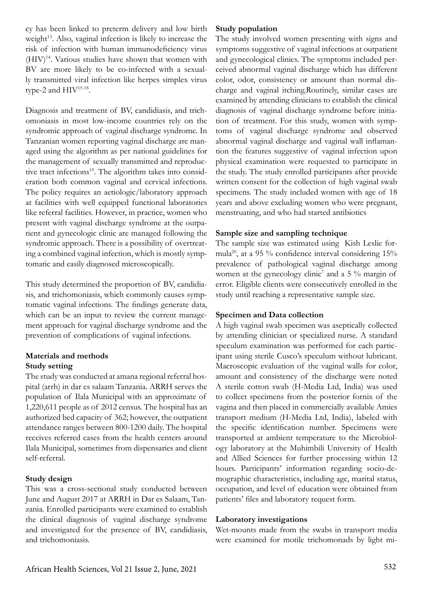cy has been linked to preterm delivery and low birth weight<sup>13</sup>. Also, vaginal infection is likely to increase the risk of infection with human immunodeficiency virus (HIV)14. Various studies have shown that women with BV are more likely to be co-infected with a sexually transmitted viral infection like herpes simplex virus type-2 and HIV15-18.

Diagnosis and treatment of BV, candidiasis, and trichomoniasis in most low-income countries rely on the syndromic approach of vaginal discharge syndrome. In Tanzanian women reporting vaginal discharge are managed using the algorithm as per national guidelines for the management of sexually transmitted and reproductive tract infections<sup>19</sup>. The algorithm takes into consideration both common vaginal and cervical infections. The policy requires an aetiologic/laboratory approach at facilities with well equipped functional laboratories like referral facilities. However, in practice, women who present with vaginal discharge syndrome at the outpatient and gynecologic clinic are managed following the syndromic approach. There is a possibility of overtreating a combined vaginal infection, which is mostly symptomatic and easily diagnosed microscopically.

This study determined the proportion of BV, candidiasis, and trichomoniasis, which commonly causes symptomatic vaginal infections. The findings generate data, which can be an input to review the current management approach for vaginal discharge syndrome and the prevention of complications of vaginal infections.

## **Materials and methods Study setting**

The study was conducted at amana regional referral hospital (arrh) in dar es salaam Tanzania. ARRH serves the population of Ilala Municipal with an approximate of 1,220,611 people as of 2012 census. The hospital has an authorized bed capacity of 362; however, the outpatient attendance ranges between 800-1200 daily. The hospital receives referred cases from the health centers around Ilala Municipal, sometimes from dispensaries and client self-referral.

## **Study design**

This was a cross-sectional study conducted between June and August 2017 at ARRH in Dar es Salaam, Tanzania. Enrolled participants were examined to establish the clinical diagnosis of vaginal discharge syndrome and investigated for the presence of BV, candidiasis, and trichomoniasis.

## **Study population**

The study involved women presenting with signs and symptoms suggestive of vaginal infections at outpatient and gynecological clinics. The symptoms included perceived abnormal vaginal discharge which has different color, odor, consistency or amount than normal discharge and vaginal itching.Routinely, similar cases are examined by attending clinicians to establish the clinical diagnosis of vaginal discharge syndrome before initiation of treatment. For this study, women with symptoms of vaginal discharge syndrome and observed abnormal vaginal discharge and vaginal wall inflamantion the features suggestive of vaginal infection upon physical examination were requested to participate in the study. The study enrolled participants after provide written consent for the collection of high vaginal swab specimens. The study included women with age of 18 years and above excluding women who were pregnant, menstruating, and who had started antibiotics

## **Sample size and sampling technique**

The sample size was estimated using Kish Leslie formula<sup>20</sup>, at a 95 % confidence interval considering  $15%$ prevalence of pathological vaginal discharge among women at the gynecology clinic<sup>7</sup> and a 5  $\%$  margin of error. Eligible clients were consecutively enrolled in the study until reaching a representative sample size.

## **Specimen and Data collection**

A high vaginal swab specimen was aseptically collected by attending clinician or specialized nurse. A standard speculum examination was performed for each participant using sterile Cusco's speculum without lubricant. Macroscopic evaluation of the vaginal walls for color, amount and consistency of the discharge were noted A sterile cotton swab (H-Media Ltd, India) was used to collect specimens from the posterior fornix of the vagina and then placed in commercially available Amies transport medium (H-Media Ltd, India), labeled with the specific identification number. Specimens were transported at ambient temperature to the Microbiology laboratory at the Muhimbili University of Health and Allied Sciences for further processing within 12 hours. Participants' information regarding socio-demographic characteristics, including age, marital status, occupation, and level of education were obtained from patients' files and laboratory request form.

## **Laboratory investigations**

Wet-mounts made from the swabs in transport media were examined for motile trichomonads by light mi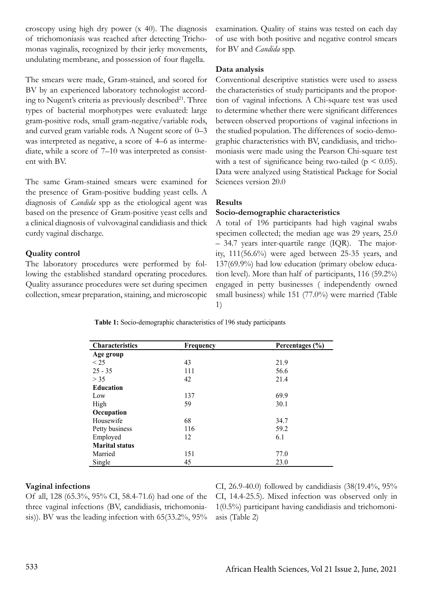croscopy using high dry power (x 40). The diagnosis of trichomoniasis was reached after detecting Trichomonas vaginalis, recognized by their jerky movements, undulating membrane, and possession of four flagella.

The smears were made, Gram-stained, and scored for BV by an experienced laboratory technologist according to Nugent's criteria as previously described $21$ . Three types of bacterial morphotypes were evaluated: large gram-positive rods, small gram-negative/variable rods, and curved gram variable rods. A Nugent score of 0–3 was interpreted as negative, a score of 4–6 as intermediate, while a score of 7–10 was interpreted as consistent with BV.

The same Gram-stained smears were examined for the presence of Gram-positive budding yeast cells. A diagnosis of *Candida* spp as the etiological agent was based on the presence of Gram-positive yeast cells and a clinical diagnosis of vulvovaginal candidiasis and thick curdy vaginal discharge.

## **Quality control**

The laboratory procedures were performed by following the established standard operating procedures. Quality assurance procedures were set during specimen collection, smear preparation, staining, and microscopic examination. Quality of stains was tested on each day of use with both positive and negative control smears for BV and *Candida* spp.

### **Data analysis**

Conventional descriptive statistics were used to assess the characteristics of study participants and the proportion of vaginal infections. A Chi-square test was used to determine whether there were significant differences between observed proportions of vaginal infections in the studied population. The differences of socio-demographic characteristics with BV, candidiasis, and trichomoniasis were made using the Pearson Chi-square test with a test of significance being two-tailed ( $p \le 0.05$ ). Data were analyzed using Statistical Package for Social Sciences version 20.0

### **Results**

### **Socio-demographic characteristics**

A total of 196 participants had high vaginal swabs specimen collected; the median age was 29 years, 25.0 – 34.7 years inter-quartile range (IQR). The majority, 111(56.6%) were aged between 25-35 years, and 137(69.9%) had low education (primary obelow education level). More than half of participants, 116 (59.2%) engaged in petty businesses ( independently owned small business) while 151 (77.0%) were married (Table 1)

**Table 1:** Socio-demographic characteristics of 196 study participants

| <b>Characteristics</b> | <b>Frequency</b> | Percentages (%) |  |  |
|------------------------|------------------|-----------------|--|--|
| Age group              |                  |                 |  |  |
| < 25                   | 43               | 21.9            |  |  |
| $25 - 35$              | 111              | 56.6            |  |  |
| > 35                   | 42               | 21.4            |  |  |
| <b>Education</b>       |                  |                 |  |  |
| Low                    | 137              | 69.9            |  |  |
| High                   | 59               | 30.1            |  |  |
| Occupation             |                  |                 |  |  |
| Housewife              | 68               | 34.7            |  |  |
| Petty business         | 116              | 59.2            |  |  |
| Employed               | 12               | 6.1             |  |  |
| <b>Marital status</b>  |                  |                 |  |  |
| Married                | 151              | 77.0            |  |  |
| Single                 | 45               | 23.0            |  |  |

#### **Vaginal infections**

Of all, 128 (65.3%, 95% CI, 58.4-71.6) had one of the three vaginal infections (BV, candidiasis, trichomoniasis)). BV was the leading infection with 65(33.2%, 95% CI, 26.9-40.0) followed by candidiasis (38(19.4%, 95% CI, 14.4-25.5). Mixed infection was observed only in 1(0.5%) participant having candidiasis and trichomoniasis (Table 2)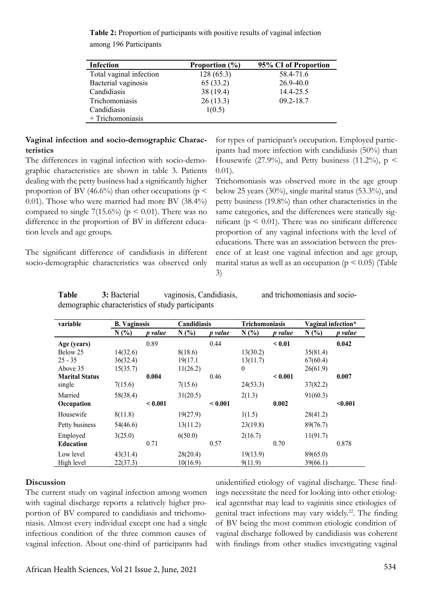**Table 2:** Proportion of participants with positive results of vaginal infection among 196 Participants

| <b>Infection</b>        | Proportion $(\% )$ | 95% CI of Proportion |  |  |
|-------------------------|--------------------|----------------------|--|--|
| Total vaginal infection | 128(65.3)          | 58.4-71.6            |  |  |
| Bacterial vaginosis     | 65(33.2)           | $26.9 - 40.0$        |  |  |
| Candidiasis             | 38 (19.4)          | 14.4-25.5            |  |  |
| Trichomoniasis          | 26(13.3)           | $09.2 - 18.7$        |  |  |
| Candidiasis             | 1(0.5)             |                      |  |  |
| + Trichomoniasis        |                    |                      |  |  |

### **Vaginal infection and socio-demographic Characteristics**

The differences in vaginal infection with socio-demographic characteristics are shown in table 3. Patients dealing with the petty business had a significantly higher proportion of BV (46.6%) than other occupations ( $p \leq$ 0.01). Those who were married had more BV (38.4%) compared to single 7(15.6%) ( $p \le 0.01$ ). There was no difference in the proportion of BV in different education levels and age groups.

The significant difference of candidiasis in different socio-demographic characteristics was observed only for types of participant's occupation. Employed participants had more infection with candidiasis (50%) than Housewife (27.9%), and Petty business (11.2%),  $p \le$ 0.01).

Trichomoniasis was observed more in the age group below 25 years (30%), single marital status (53.3%), and petty business (19.8%) than other characteristics in the same categories, and the differences were statically significant ( $p \leq 0.01$ ). There was no sinificant difference proportion of any vaginal infections with the level of educations. There was an association between the presence of at least one vaginal infection and age group, marital status as well as an occupation ( $p \le 0.05$ ) (Table 3)

**Table 3:** Bacterial vaginosis, Candidiasis, and trichomoniasis and sociodemographic characteristics of study participants

| variable              | <b>B.</b> Vaginosis |                | Candidiasis |         | <b>Trichomoniasis</b> |         | Vaginal infection* |         |
|-----------------------|---------------------|----------------|-------------|---------|-----------------------|---------|--------------------|---------|
|                       | N(%)                | <i>p</i> value | N(%         | p value | N(%                   | p value | N(%)               | p value |
| Age (years)           |                     | 0.89           |             | 0.44    |                       | < 0.01  |                    | 0.042   |
| Below 25              | 14(32.6)            |                | 8(18.6)     |         | 13(30.2)              |         | 35(81.4)           |         |
| $25 - 35$             | 36(32.4)            |                | 19(17.1     |         | 13(11.7)              |         | 67(60.4)           |         |
| Above 35              | 15(35.7)            |                | 11(26.2)    |         | 0                     |         | 26(61.9)           |         |
| <b>Marital Status</b> |                     | 0.004          |             | 0.46    |                       | < 0.001 |                    | 0.007   |
| single                | 7(15.6)             |                | 7(15.6)     |         | 24(53.3)              |         | 37(82.2)           |         |
| Married               | 58(38.4)            |                | 31(20.5)    |         | 2(1.3)                |         | 91(60.3)           |         |
| Occupation            |                     | < 0.001        |             | < 0.001 |                       | 0.002   |                    | $0.001$ |
| Housewife             | 8(11.8)             |                | 19(27.9)    |         | 1(1.5)                |         | 28(41.2)           |         |
| Petty business        | 54(46.6)            |                | 13(11.2)    |         | 23(19.8)              |         | 89(76.7)           |         |
| Employed              | 3(25.0)             |                | 6(50.0)     |         | 2(16.7)               |         | 11(91.7)           |         |
| <b>Education</b>      |                     | 0.71           |             | 0.57    |                       | 0.70    |                    | 0.878   |
| Low level             | 43(31.4)            |                | 28(20.4)    |         | 19(13.9)              |         | 89(65.0)           |         |
| High level            | 22(37.3)            |                | 10(16.9)    |         | 9(11.9)               |         | 39(66.1)           |         |

#### **Discussion**

The current study on vaginal infection among women with vaginal discharge reports a relatively higher proportion of BV compared to candidiasis and trichomoniasis. Almost every individual except one had a single infectious condition of the three common causes of vaginal infection. About one-third of participants had

unidentified etiology of vaginal discharge. These findings necessitate the need for looking into other etiological agentsthat may lead to vaginitis since etiologies of genital tract infections may vary widely.<sup>22</sup>. The finding of BV being the most common etiologic condition of vaginal discharge followed by candidiasis was coherent with findings from other studies investigating vaginal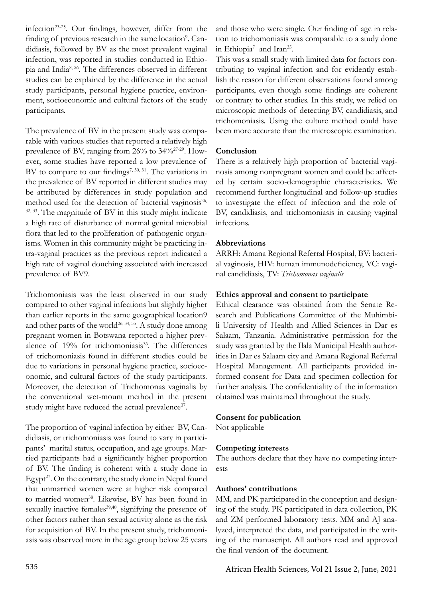infection23-25. Our findings, however, differ from the finding of previous research in the same location<sup>9</sup>. Candidiasis, followed by BV as the most prevalent vaginal infection, was reported in studies conducted in Ethiopia and India8, 26. The differences observed in different studies can be explained by the difference in the actual study participants, personal hygiene practice, environment, socioeconomic and cultural factors of the study participants.

The prevalence of BV in the present study was comparable with various studies that reported a relatively high prevalence of BV, ranging from 26% to 34%27-29. However, some studies have reported a low prevalence of BV to compare to our findings<sup>7, 30, 31</sup>. The variations in the prevalence of BV reported in different studies may be attributed by differences in study population and method used for the detection of bacterial vaginosis<sup>26,</sup> <sup>32, 33</sup>. The magnitude of BV in this study might indicate a high rate of disturbance of normal genital microbial flora that led to the proliferation of pathogenic organisms. Women in this community might be practicing intra-vaginal practices as the previous report indicated a high rate of vaginal douching associated with increased prevalence of BV9.

Trichomoniasis was the least observed in our study compared to other vaginal infections but slightly higher than earlier reports in the same geographical location9 and other parts of the world<sup>26, 34, 35</sup>. A study done among pregnant women in Botswana reported a higher prevalence of  $19%$  for trichomoniasis<sup>36</sup>. The differences of trichomoniasis found in different studies could be due to variations in personal hygiene practice, socioeconomic, and cultural factors of the study participants. Moreover, the detection of Trichomonas vaginalis by the conventional wet-mount method in the present study might have reduced the actual prevalence<sup>37</sup>.

The proportion of vaginal infection by either BV, Candidiasis, or trichomoniasis was found to vary in participants' marital status, occupation, and age groups. Married participants had a significantly higher proportion of BV. The finding is coherent with a study done in Egypt $2^7$ . On the contrary, the study done in Nepal found that unmarried women were at higher risk compared to married women<sup>38</sup>. Likewise, BV has been found in sexually inactive females<sup>39,40</sup>, signifying the presence of other factors rather than sexual activity alone as the risk for acquisition of BV. In the present study, trichomoniasis was observed more in the age group below 25 years

and those who were single. Our finding of age in relation to trichomoniasis was comparable to a study done in Ethiopia<sup>7</sup> and Iran<sup>35</sup>.

This was a small study with limited data for factors contributing to vaginal infection and for evidently establish the reason for different observations found among participants, even though some findings are coherent or contrary to other studies. In this study, we relied on microscopic methods of detecting BV, candidiasis, and trichomoniasis. Using the culture method could have been more accurate than the microscopic examination.

## **Conclusion**

There is a relatively high proportion of bacterial vaginosis among nonpregnant women and could be affected by certain socio-demographic characteristics. We recommend further longitudinal and follow-up studies to investigate the effect of infection and the role of BV, candidiasis, and trichomoniasis in causing vaginal infections.

## **Abbreviations**

ARRH: Amana Regional Referral Hospital, BV: bacterial vaginosis, HIV: human immunodeficiency, VC: vaginal candidiasis, TV: *Trichomonas vaginalis*

## **Ethics approval and consent to participate**

Ethical clearance was obtained from the Senate Research and Publications Committee of the Muhimbili University of Health and Allied Sciences in Dar es Salaam, Tanzania. Administrative permission for the study was granted by the Ilala Municipal Health authorities in Dar es Salaam city and Amana Regional Referral Hospital Management. All participants provided informed consent for Data and specimen collection for further analysis. The confidentiality of the information obtained was maintained throughout the study.

## **Consent for publication**

Not applicable

## **Competing interests**

The authors declare that they have no competing interests

## **Authors' contributions**

MM, and PK participated in the conception and designing of the study. PK participated in data collection, PK and ZM performed laboratory tests. MM and AJ analyzed, interpreted the data, and participated in the writing of the manuscript. All authors read and approved the final version of the document.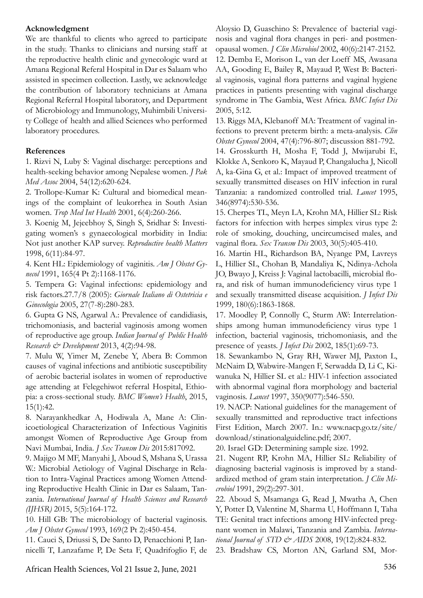#### **Acknowledgment**

We are thankful to clients who agreed to participate in the study. Thanks to clinicians and nursing staff at the reproductive health clinic and gynecologic ward at Amana Regional Referal Hospital in Dar es Salaam who assisted in specimen collection. Lastly, we acknowledge the contribution of laboratory technicians at Amana Regional Referral Hospital laboratory, and Department of Microbiology and Immunology, Muhimbili University College of health and allied Sciences who performed laboratory procedures.

#### **References**

1. Rizvi N, Luby S: Vaginal discharge: perceptions and health-seeking behavior among Nepalese women. *J Pak Med Assoc* 2004, 54(12):620-624.

2. Trollope-Kumar K: Cultural and biomedical meanings of the complaint of leukorrhea in South Asian women. *Trop Med Int Health* 2001, 6(4):260-266.

3. Koenig M, Jejeebhoy S, Singh S, Sridhar S: Investigating women's s gynaecological morbidity in India: Not just another KAP survey. *Reproductive health Matters* 1998, 6(11):84-97.

4. Kent HL: Epidemiology of vaginitis. *Am J Obstet Gynecol* 1991, 165(4 Pt 2):1168-1176.

5. Tempera G: Vaginal infections: epidemiology and risk factors.27.7/8 (2005): *Giornale Italiano di Ostetricia e Ginecologia* 2005, 27(7-8):280-283.

6. Gupta G NS, Agarwal A.: Prevalence of candidiasis, trichomoniasis, and bacterial vaginosis among women of reproductive age group. *Indian Journal of Public Health Research & Development* 2013, 4(2):94-98.

7. Mulu W, Yimer M, Zenebe Y, Abera B: Common causes of vaginal infections and antibiotic susceptibility of aerobic bacterial isolates in women of reproductive age attending at Felegehiwot referral Hospital, Ethiopia: a cross-sectional study. *BMC Women's Health*, 2015, 15(1):42.

8. Narayankhedkar A, Hodiwala A, Mane A: Clinicoetiological Characterization of Infectious Vaginitis amongst Women of Reproductive Age Group from Navi Mumbai, India. *J Sex Transm Dis* 2015:817092.

9. Majigo M MF, Manyahi J, Aboud S, Mshana S, Urassa W.: Microbial Aetiology of Vaginal Discharge in Relation to Intra-Vaginal Practices among Women Attending Reproductive Health Clinic in Dar es Salaam, Tanzania. *International Journal of Health Sciences and Research (IJHSR)* 2015, 5(5):164-172.

10. Hill GB: The microbiology of bacterial vaginosis. *Am J Obstet Gynecol* 1993, 169(2 Pt 2):450-454.

11. Cauci S, Driussi S, De Santo D, Penacchioni P, Iannicelli T, Lanzafame P, De Seta F, Quadrifoglio F, de Aloysio D, Guaschino S: Prevalence of bacterial vaginosis and vaginal flora changes in peri- and postmenopausal women. *J Clin Microbiol* 2002, 40(6):2147-2152. 12. Demba E, Morison L, van der Loeff MS, Awasana AA, Gooding E, Bailey R, Mayaud P, West B: Bacterial vaginosis, vaginal flora patterns and vaginal hygiene practices in patients presenting with vaginal discharge syndrome in The Gambia, West Africa. *BMC Infect Dis*  2005, 5:12.

13. Riggs MA, Klebanoff MA: Treatment of vaginal infections to prevent preterm birth: a meta-analysis. *Clin Obstet Gynecol* 2004, 47(4):796-807; discussion 881-792. 14. Grosskurth H, Mosha F, Todd J, Mwijarubi E, Klokke A, Senkoro K, Mayaud P, Changalucha J, Nicoll A, ka-Gina G, et al.: Impact of improved treatment of sexually transmitted diseases on HIV infection in rural Tanzania: a randomized controlled trial. *Lancet* 1995, 346(8974):530-536.

15. Cherpes TL, Meyn LA, Krohn MA, Hillier SL: Risk factors for infection with herpes simplex virus type 2: role of smoking, douching, uncircumcised males, and vaginal flora. *Sex Transm Dis* 2003, 30(5):405-410.

16. Martin HL, Richardson BA, Nyange PM, Lavreys L, Hillier SL, Chohan B, Mandaliya K, Ndinya-Achola JO, Bwayo J, Kreiss J: Vaginal lactobacilli, microbial flora, and risk of human immunodeficiency virus type 1 and sexually transmitted disease acquisition. *J Infect Dis* 1999, 180(6):1863-1868.

17. Moodley P, Connolly C, Sturm AW: Interrelationships among human immunodeficiency virus type 1 infection, bacterial vaginosis, trichomoniasis, and the presence of yeasts. *J Infect Dis* 2002, 185(1):69-73.

18. Sewankambo N, Gray RH, Wawer MJ, Paxton L, McNaim D, Wabwire-Mangen F, Serwadda D, Li C, Kiwanuka N, Hillier SL et al.: HIV-1 infection associated with abnormal vaginal flora morphology and bacterial vaginosis. *Lancet* 1997, 350(9077):546-550.

19. NACP: National guidelines for the management of sexually transmitted and reproductive tract infections First Edition, March 2007. In.: www.nacp.go.tz/site/ download/stinationalguideline.pdf; 2007.

20. Israel GD: Determining sample size. 1992.

21. Nugent RP, Krohn MA, Hillier SL: Reliability of diagnosing bacterial vaginosis is improved by a standardized method of gram stain interpretation. *J Clin Microbiol* 1991, 29(2):297-301.

22. Aboud S, Msamanga G, Read J, Mwatha A, Chen Y, Potter D, Valentine M, Sharma U, Hoffmann I, Taha TE: Genital tract infections among HIV-infected pregnant women in Malawi, Tanzania and Zambia. *International Journal of STD & AIDS* 2008, 19(12):824-832.

23. Bradshaw CS, Morton AN, Garland SM, Mor-